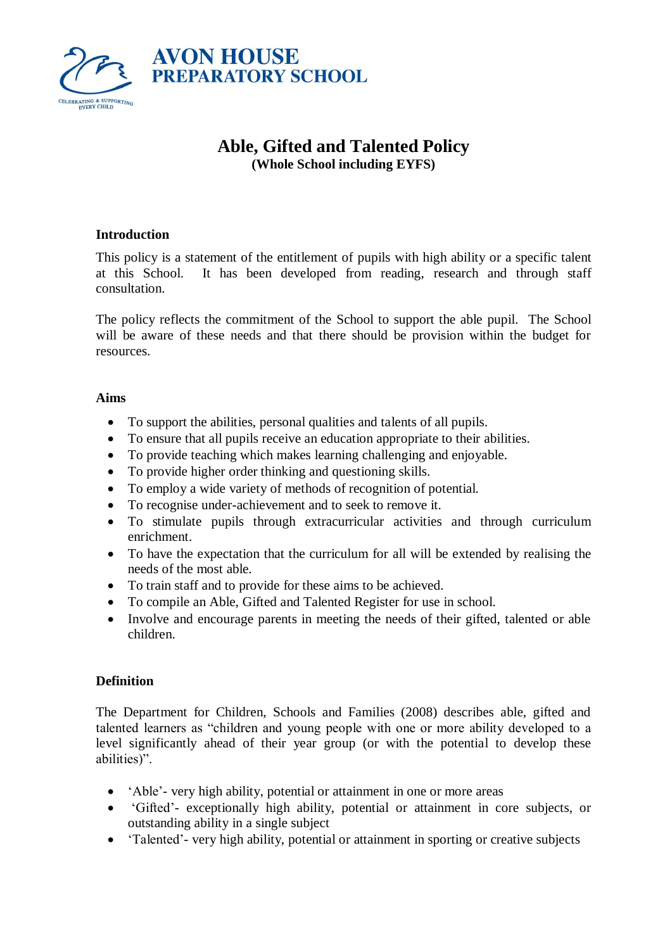

# **Able, Gifted and Talented Policy (Whole School including EYFS)**

# **Introduction**

This policy is a statement of the entitlement of pupils with high ability or a specific talent at this School. It has been developed from reading, research and through staff consultation.

The policy reflects the commitment of the School to support the able pupil. The School will be aware of these needs and that there should be provision within the budget for resources.

#### **Aims**

- To support the abilities, personal qualities and talents of all pupils.
- To ensure that all pupils receive an education appropriate to their abilities.
- To provide teaching which makes learning challenging and enjoyable.
- To provide higher order thinking and questioning skills.
- To employ a wide variety of methods of recognition of potential.
- To recognise under-achievement and to seek to remove it.
- To stimulate pupils through extracurricular activities and through curriculum enrichment.
- To have the expectation that the curriculum for all will be extended by realising the needs of the most able.
- To train staff and to provide for these aims to be achieved.
- To compile an Able, Gifted and Talented Register for use in school.
- Involve and encourage parents in meeting the needs of their gifted, talented or able children.

# **Definition**

The Department for Children, Schools and Families (2008) describes able, gifted and talented learners as "children and young people with one or more ability developed to a level significantly ahead of their year group (or with the potential to develop these abilities)".

- 'Able'- very high ability, potential or attainment in one or more areas
- 'Gifted'- exceptionally high ability, potential or attainment in core subjects, or outstanding ability in a single subject
- 'Talented'- very high ability, potential or attainment in sporting or creative subjects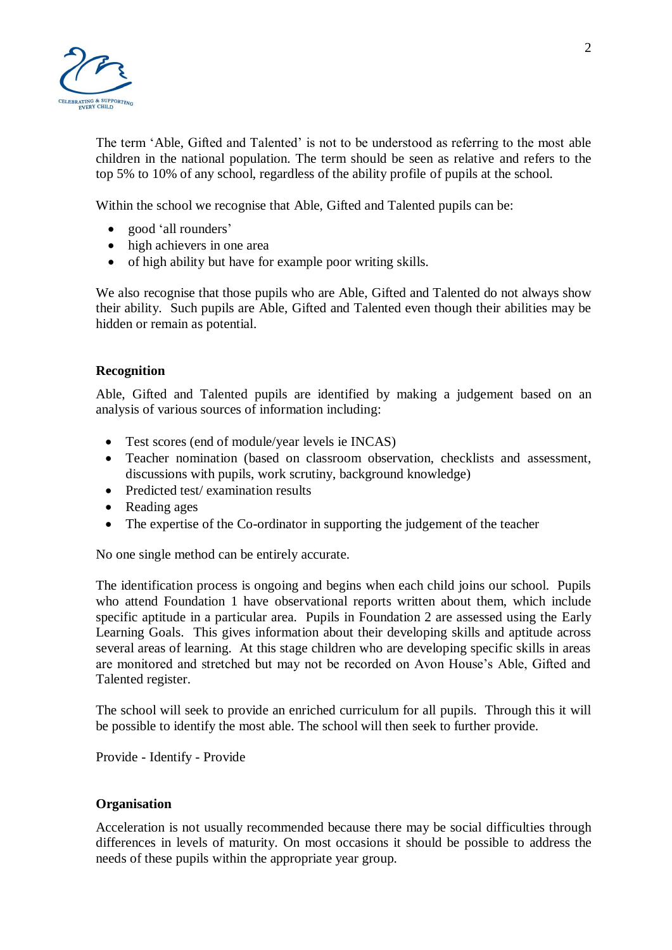

The term 'Able, Gifted and Talented' is not to be understood as referring to the most able children in the national population. The term should be seen as relative and refers to the top 5% to 10% of any school, regardless of the ability profile of pupils at the school.

Within the school we recognise that Able, Gifted and Talented pupils can be:

- good 'all rounders'
- high achievers in one area
- of high ability but have for example poor writing skills.

We also recognise that those pupils who are Able, Gifted and Talented do not always show their ability. Such pupils are Able, Gifted and Talented even though their abilities may be hidden or remain as potential.

## **Recognition**

Able, Gifted and Talented pupils are identified by making a judgement based on an analysis of various sources of information including:

- Test scores (end of module/year levels ie INCAS)
- Teacher nomination (based on classroom observation, checklists and assessment, discussions with pupils, work scrutiny, background knowledge)
- Predicted test/ examination results
- Reading ages
- The expertise of the Co-ordinator in supporting the judgement of the teacher

No one single method can be entirely accurate.

The identification process is ongoing and begins when each child joins our school. Pupils who attend Foundation 1 have observational reports written about them, which include specific aptitude in a particular area. Pupils in Foundation 2 are assessed using the Early Learning Goals. This gives information about their developing skills and aptitude across several areas of learning. At this stage children who are developing specific skills in areas are monitored and stretched but may not be recorded on Avon House's Able, Gifted and Talented register.

The school will seek to provide an enriched curriculum for all pupils. Through this it will be possible to identify the most able. The school will then seek to further provide.

Provide - Identify - Provide

#### **Organisation**

Acceleration is not usually recommended because there may be social difficulties through differences in levels of maturity. On most occasions it should be possible to address the needs of these pupils within the appropriate year group.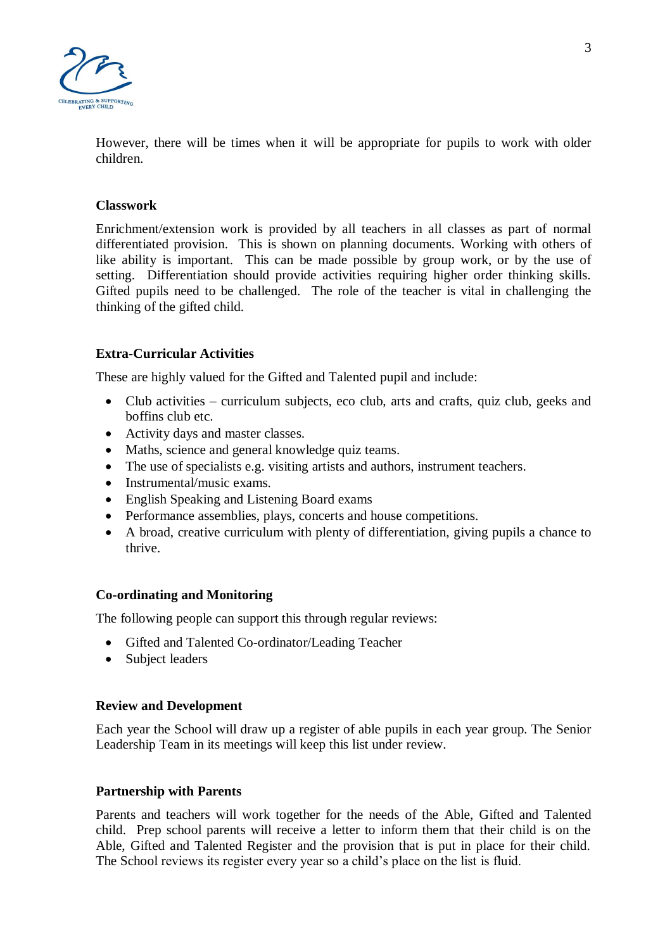

However, there will be times when it will be appropriate for pupils to work with older children.

#### **Classwork**

Enrichment/extension work is provided by all teachers in all classes as part of normal differentiated provision. This is shown on planning documents. Working with others of like ability is important. This can be made possible by group work, or by the use of setting. Differentiation should provide activities requiring higher order thinking skills. Gifted pupils need to be challenged. The role of the teacher is vital in challenging the thinking of the gifted child.

## **Extra-Curricular Activities**

These are highly valued for the Gifted and Talented pupil and include:

- Club activities curriculum subjects, eco club, arts and crafts, quiz club, geeks and boffins club etc.
- Activity days and master classes.
- Maths, science and general knowledge quiz teams.
- The use of specialists e.g. visiting artists and authors, instrument teachers.
- Instrumental/music exams.
- English Speaking and Listening Board exams
- Performance assemblies, plays, concerts and house competitions.
- A broad, creative curriculum with plenty of differentiation, giving pupils a chance to thrive.

#### **Co-ordinating and Monitoring**

The following people can support this through regular reviews:

- Gifted and Talented Co-ordinator/Leading Teacher
- Subject leaders

#### **Review and Development**

Each year the School will draw up a register of able pupils in each year group. The Senior Leadership Team in its meetings will keep this list under review.

#### **Partnership with Parents**

Parents and teachers will work together for the needs of the Able, Gifted and Talented child. Prep school parents will receive a letter to inform them that their child is on the Able, Gifted and Talented Register and the provision that is put in place for their child. The School reviews its register every year so a child's place on the list is fluid.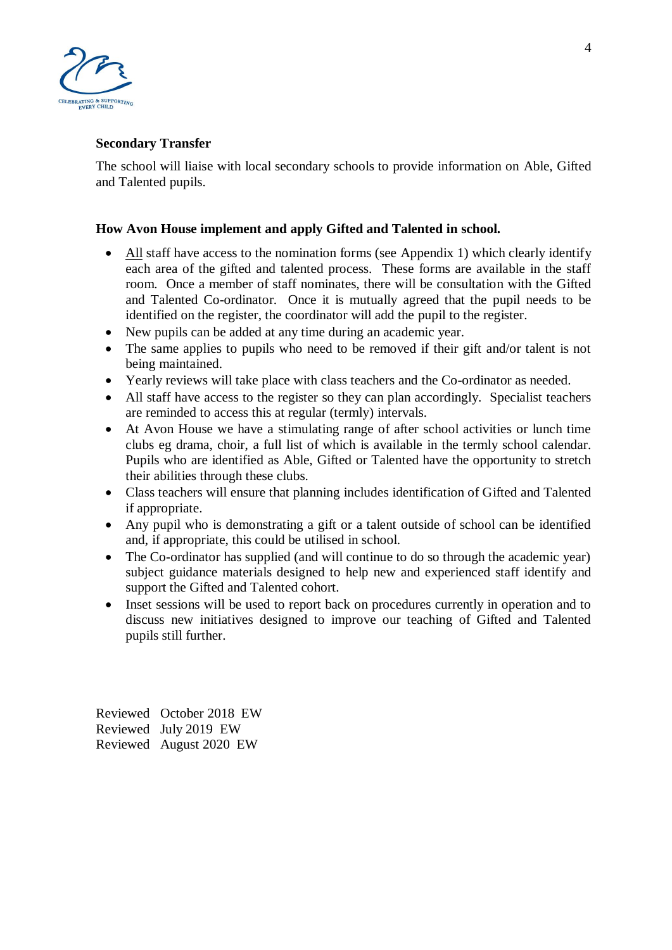

# **Secondary Transfer**

The school will liaise with local secondary schools to provide information on Able, Gifted and Talented pupils.

# **How Avon House implement and apply Gifted and Talented in school.**

- All staff have access to the nomination forms (see Appendix 1) which clearly identify each area of the gifted and talented process. These forms are available in the staff room. Once a member of staff nominates, there will be consultation with the Gifted and Talented Co-ordinator. Once it is mutually agreed that the pupil needs to be identified on the register, the coordinator will add the pupil to the register.
- New pupils can be added at any time during an academic year.
- The same applies to pupils who need to be removed if their gift and/or talent is not being maintained.
- Yearly reviews will take place with class teachers and the Co-ordinator as needed.
- All staff have access to the register so they can plan accordingly. Specialist teachers are reminded to access this at regular (termly) intervals.
- At Avon House we have a stimulating range of after school activities or lunch time clubs eg drama, choir, a full list of which is available in the termly school calendar. Pupils who are identified as Able, Gifted or Talented have the opportunity to stretch their abilities through these clubs.
- Class teachers will ensure that planning includes identification of Gifted and Talented if appropriate.
- Any pupil who is demonstrating a gift or a talent outside of school can be identified and, if appropriate, this could be utilised in school.
- The Co-ordinator has supplied (and will continue to do so through the academic year) subject guidance materials designed to help new and experienced staff identify and support the Gifted and Talented cohort.
- Inset sessions will be used to report back on procedures currently in operation and to discuss new initiatives designed to improve our teaching of Gifted and Talented pupils still further.

Reviewed October 2018 EW Reviewed July 2019 EW Reviewed August 2020 EW